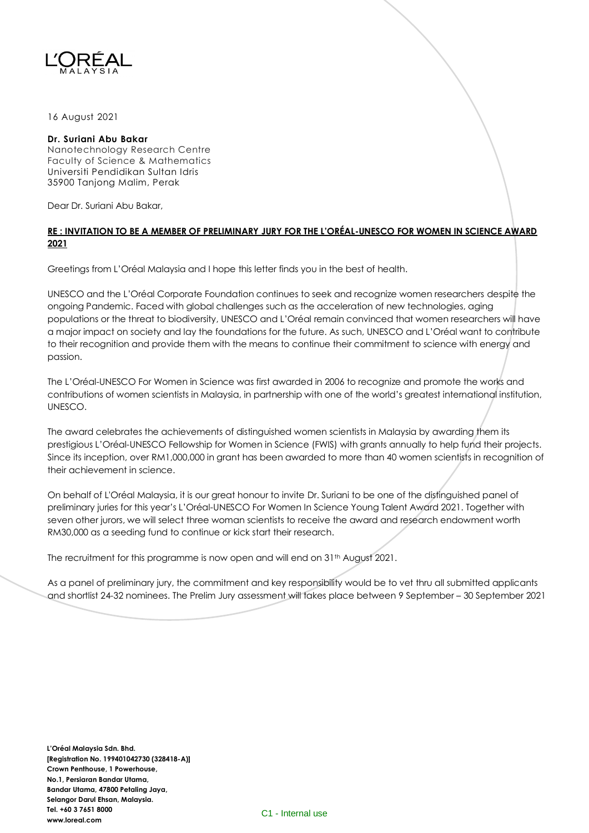

## 16 August 2021

## **Dr. Suriani Abu Bakar**

Nanotechnology Research Centre Faculty of Science & Mathematics Universiti Pendidikan Sultan Idris 35900 Tanjong Malim, Perak

Dear Dr. Suriani Abu Bakar,

## **RE : INVITATION TO BE A MEMBER OF PRELIMINARY JURY FOR THE L'ORÉAL-UNESCO FOR WOMEN IN SCIENCE AWARD 2021**

Greetings from L'Oréal Malaysia and I hope this letter finds you in the best of health.

UNESCO and the L'Oréal Corporate Foundation continues to seek and recognize women researchers despite the ongoing Pandemic. Faced with global challenges such as the acceleration of new technologies, aging populations or the threat to biodiversity, UNESCO and L'Oréal remain convinced that women researchers will have a major impact on society and lay the foundations for the future. As such, UNESCO and L'Oréal want to contribute to their recognition and provide them with the means to continue their commitment to science with energy and passion.

The L'Oréal-UNESCO For Women in Science was first awarded in 2006 to recognize and promote the works and contributions of women scientists in Malaysia, in partnership with one of the world's greatest international institution, UNESCO.

The award celebrates the achievements of distinguished women scientists in Malaysia by awarding them its prestigious L'Oréal-UNESCO Fellowship for Women in Science (FWIS) with grants annually to help fund their projects. Since its inception, over RM1,000,000 in grant has been awarded to more than 40 women scientists in recognition of their achievement in science.

On behalf of L'Oréal Malaysia, it is our great honour to invite Dr. Suriani to be one of the distinguished panel of preliminary juries for this year's L'Oréal-UNESCO For Women In Science Young Talent Award 2021. Together with seven other jurors, we will select three woman scientists to receive the award and research endowment worth RM30,000 as a seeding fund to continue or kick start their research.

The recruitment for this programme is now open and will end on 31<sup>th</sup> August 2021.

As a panel of preliminary jury, the commitment and key responsibility would be to vet thru all submitted applicants and shortlist 24-32 nominees. The Prelim Jury assessment will takes place between 9 September – 30 September 2021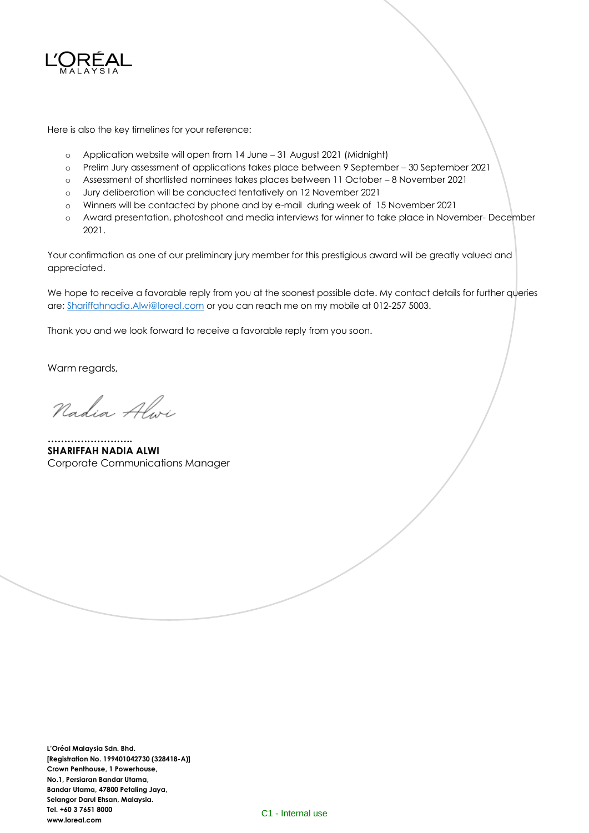

Here is also the key timelines for your reference:

- o Application website will open from 14 June 31 August 2021 (Midnight)
- o Prelim Jury assessment of applications takes place between 9 September 30 September 2021
- o Assessment of shortlisted nominees takes places between 11 October 8 November 2021
- o Jury deliberation will be conducted tentatively on 12 November 2021
- o Winners will be contacted by phone and by e-mail during week of 15 November 2021
- o Award presentation, photoshoot and media interviews for winner to take place in November- December 2021.

Your confirmation as one of our preliminary jury member for this prestigious award will be greatly valued and appreciated.

We hope to receive a favorable reply from you at the soonest possible date. My contact details for further queries are[; Shariffahnadia.Alwi@loreal.com](mailto:Shariffahnadia.Alwi@loreal.com) or you can reach me on my mobile at 012-257 5003.

Thank you and we look forward to receive a favorable reply from you soon.

Warm regards,

Nadia Alwi

**…………………….. SHARIFFAH NADIA ALWI** Corporate Communications Manager

**L'Oréal Malaysia Sdn. Bhd. [Registration No. 199401042730 (328418-A)] Crown Penthouse, 1 Powerhouse, No.1, Persiaran Bandar Utama, Bandar Utama, 47800 Petaling Jaya, Selangor Darul Ehsan, Malaysia. Tel. +60 3 7651 8000 www.loreal.com**